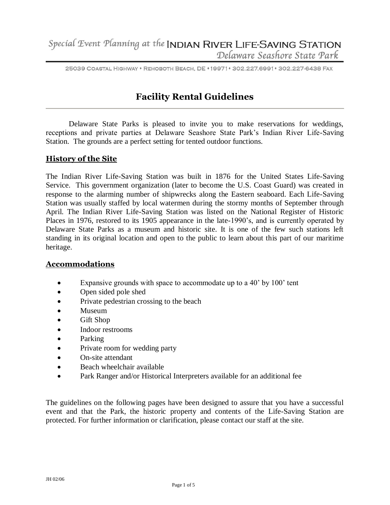25039 COASTAL HIGHWAY \* REHOBOTH BEACH, DE \*19971\* 302.227.6991\* 302.227-6438 FAX

# **Facility Rental Guidelines**

Delaware State Parks is pleased to invite you to make reservations for weddings, receptions and private parties at Delaware Seashore State Park's Indian River Life-Saving Station. The grounds are a perfect setting for tented outdoor functions.

# **History of the Site**

The Indian River Life-Saving Station was built in 1876 for the United States Life-Saving Service. This government organization (later to become the U.S. Coast Guard) was created in response to the alarming number of shipwrecks along the Eastern seaboard. Each Life-Saving Station was usually staffed by local watermen during the stormy months of September through April. The Indian River Life-Saving Station was listed on the National Register of Historic Places in 1976, restored to its 1905 appearance in the late-1990's, and is currently operated by Delaware State Parks as a museum and historic site. It is one of the few such stations left standing in its original location and open to the public to learn about this part of our maritime heritage.

#### **Accommodations**

- Expansive grounds with space to accommodate up to a 40' by 100' tent
- Open sided pole shed
- Private pedestrian crossing to the beach
- Museum
- Gift Shop
- Indoor restrooms
- Parking
- Private room for wedding party
- On-site attendant
- Beach wheelchair available
- Park Ranger and/or Historical Interpreters available for an additional fee

The guidelines on the following pages have been designed to assure that you have a successful event and that the Park, the historic property and contents of the Life-Saving Station are protected. For further information or clarification, please contact our staff at the site.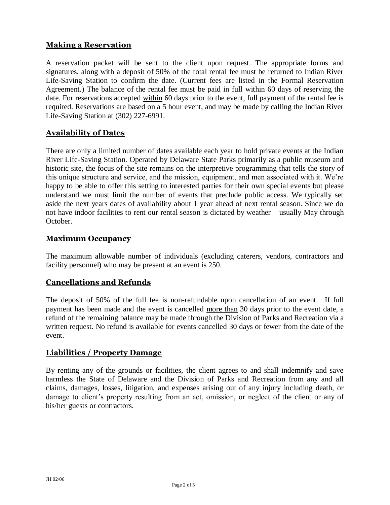# **Making a Reservation**

A reservation packet will be sent to the client upon request. The appropriate forms and signatures, along with a deposit of 50% of the total rental fee must be returned to Indian River Life-Saving Station to confirm the date. (Current fees are listed in the Formal Reservation Agreement.) The balance of the rental fee must be paid in full within 60 days of reserving the date. For reservations accepted within 60 days prior to the event, full payment of the rental fee is required. Reservations are based on a 5 hour event, and may be made by calling the Indian River Life-Saving Station at (302) 227-6991.

# **Availability of Dates**

There are only a limited number of dates available each year to hold private events at the Indian River Life-Saving Station. Operated by Delaware State Parks primarily as a public museum and historic site, the focus of the site remains on the interpretive programming that tells the story of this unique structure and service, and the mission, equipment, and men associated with it. We're happy to be able to offer this setting to interested parties for their own special events but please understand we must limit the number of events that preclude public access. We typically set aside the next years dates of availability about 1 year ahead of next rental season. Since we do not have indoor facilities to rent our rental season is dictated by weather – usually May through October.

## **Maximum Occupancy**

The maximum allowable number of individuals (excluding caterers, vendors, contractors and facility personnel) who may be present at an event is 250.

## **Cancellations and Refunds**

The deposit of 50% of the full fee is non-refundable upon cancellation of an event. If full payment has been made and the event is cancelled more than 30 days prior to the event date, a refund of the remaining balance may be made through the Division of Parks and Recreation via a written request. No refund is available for events cancelled 30 days or fewer from the date of the event.

## **Liabilities / Property Damage**

By renting any of the grounds or facilities, the client agrees to and shall indemnify and save harmless the State of Delaware and the Division of Parks and Recreation from any and all claims, damages, losses, litigation, and expenses arising out of any injury including death, or damage to client's property resulting from an act, omission, or neglect of the client or any of his/her guests or contractors.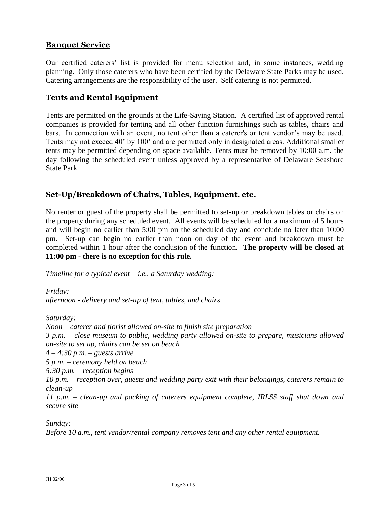# **Banquet Service**

Our certified caterers' list is provided for menu selection and, in some instances, wedding planning. Only those caterers who have been certified by the Delaware State Parks may be used. Catering arrangements are the responsibility of the user. Self catering is not permitted.

## **Tents and Rental Equipment**

Tents are permitted on the grounds at the Life-Saving Station. A certified list of approved rental companies is provided for tenting and all other function furnishings such as tables, chairs and bars. In connection with an event, no tent other than a caterer's or tent vendor's may be used. Tents may not exceed 40' by 100' and are permitted only in designated areas. Additional smaller tents may be permitted depending on space available. Tents must be removed by 10:00 a.m. the day following the scheduled event unless approved by a representative of Delaware Seashore State Park.

## **Set-Up/Breakdown of Chairs, Tables, Equipment, etc.**

No renter or guest of the property shall be permitted to set-up or breakdown tables or chairs on the property during any scheduled event. All events will be scheduled for a maximum of 5 hours and will begin no earlier than 5:00 pm on the scheduled day and conclude no later than 10:00 pm. Set-up can begin no earlier than noon on day of the event and breakdown must be completed within 1 hour after the conclusion of the function. **The property will be closed at 11:00 pm - there is no exception for this rule.** 

#### *Timeline for a typical event – i.e., a Saturday wedding:*

*Friday: afternoon - delivery and set-up of tent, tables, and chairs*

*Saturday:* 

*Noon – caterer and florist allowed on-site to finish site preparation 3 p.m. – close museum to public, wedding party allowed on-site to prepare, musicians allowed on-site to set up, chairs can be set on beach 4 – 4:30 p.m. – guests arrive 5 p.m. – ceremony held on beach 5:30 p.m. – reception begins 10 p.m. – reception over, guests and wedding party exit with their belongings, caterers remain to clean-up*

*11 p.m. – clean-up and packing of caterers equipment complete, IRLSS staff shut down and secure site*

*Sunday:*

*Before 10 a.m., tent vendor/rental company removes tent and any other rental equipment.*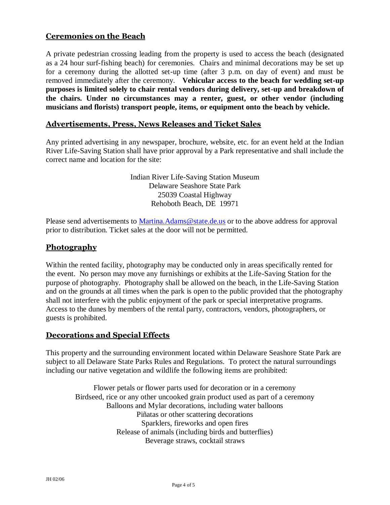# **Ceremonies on the Beach**

A private pedestrian crossing leading from the property is used to access the beach (designated as a 24 hour surf-fishing beach) for ceremonies. Chairs and minimal decorations may be set up for a ceremony during the allotted set-up time (after 3 p.m. on day of event) and must be removed immediately after the ceremony. **Vehicular access to the beach for wedding set-up purposes is limited solely to chair rental vendors during delivery, set-up and breakdown of the chairs. Under no circumstances may a renter, guest, or other vendor (including musicians and florists) transport people, items, or equipment onto the beach by vehicle.**

#### **Advertisements, Press, News Releases and Ticket Sales**

Any printed advertising in any newspaper, brochure, website, etc. for an event held at the Indian River Life-Saving Station shall have prior approval by a Park representative and shall include the correct name and location for the site:

> Indian River Life-Saving Station Museum Delaware Seashore State Park 25039 Coastal Highway Rehoboth Beach, DE 19971

Please send advertisements to [Martina.Adams@state.de.us](Martina.Adams@state.de.us%20) or to the above address for approval prior to distribution. Ticket sales at the door will not be permitted.

#### **Photography**

Within the rented facility, photography may be conducted only in areas specifically rented for the event. No person may move any furnishings or exhibits at the Life-Saving Station for the purpose of photography. Photography shall be allowed on the beach, in the Life-Saving Station and on the grounds at all times when the park is open to the public provided that the photography shall not interfere with the public enjoyment of the park or special interpretative programs. Access to the dunes by members of the rental party, contractors, vendors, photographers, or guests is prohibited.

## **Decorations and Special Effects**

This property and the surrounding environment located within Delaware Seashore State Park are subject to all Delaware State Parks Rules and Regulations. To protect the natural surroundings including our native vegetation and wildlife the following items are prohibited:

Flower petals or flower parts used for decoration or in a ceremony Birdseed, rice or any other uncooked grain product used as part of a ceremony Balloons and Mylar decorations, including water balloons Piñatas or other scattering decorations Sparklers, fireworks and open fires Release of animals (including birds and butterflies) Beverage straws, cocktail straws